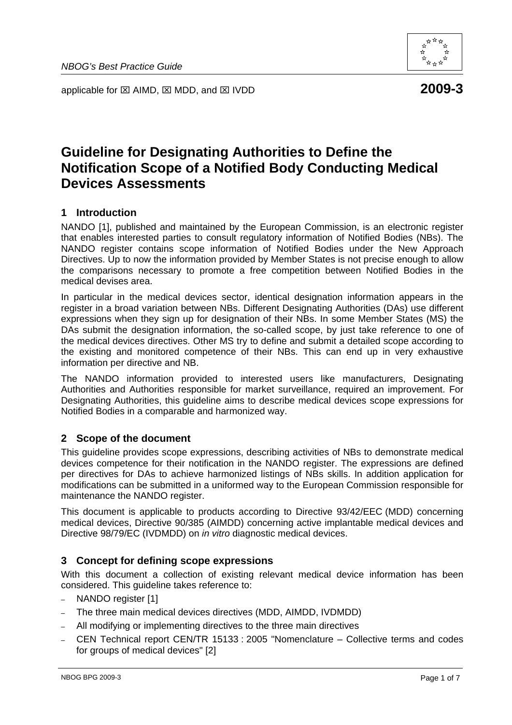applicable for ⊠ AIMD, ⊠ MDD, and ⊠ IVDD **2009-3** 



# **Guideline for Designating Authorities to Define the Notification Scope of a Notified Body Conducting Medical Devices Assessments**

## **1 Introduction**

NANDO [1], published and maintained by the European Commission, is an electronic register that enables interested parties to consult regulatory information of Notified Bodies (NBs). The NANDO register contains scope information of Notified Bodies under the New Approach Directives. Up to now the information provided by Member States is not precise enough to allow the comparisons necessary to promote a free competition between Notified Bodies in the medical devises area.

In particular in the medical devices sector, identical designation information appears in the register in a broad variation between NBs. Different Designating Authorities (DAs) use different expressions when they sign up for designation of their NBs. In some Member States (MS) the DAs submit the designation information, the so-called scope, by just take reference to one of the medical devices directives. Other MS try to define and submit a detailed scope according to the existing and monitored competence of their NBs. This can end up in very exhaustive information per directive and NB.

The NANDO information provided to interested users like manufacturers, Designating Authorities and Authorities responsible for market surveillance, required an improvement. For Designating Authorities, this guideline aims to describe medical devices scope expressions for Notified Bodies in a comparable and harmonized way.

## **2 Scope of the document**

This guideline provides scope expressions, describing activities of NBs to demonstrate medical devices competence for their notification in the NANDO register. The expressions are defined per directives for DAs to achieve harmonized listings of NBs skills. In addition application for modifications can be submitted in a uniformed way to the European Commission responsible for maintenance the NANDO register.

This document is applicable to products according to Directive 93/42/EEC (MDD) concerning medical devices, Directive 90/385 (AIMDD) concerning active implantable medical devices and Directive 98/79/EC (IVDMDD) on *in vitro* diagnostic medical devices.

## **3 Concept for defining scope expressions**

With this document a collection of existing relevant medical device information has been considered. This guideline takes reference to:

- NANDO register [1]
- The three main medical devices directives (MDD, AIMDD, IVDMDD)
- All modifying or implementing directives to the three main directives
- CEN Technical report CEN/TR 15133 : 2005 "Nomenclature Collective terms and codes for groups of medical devices" [2]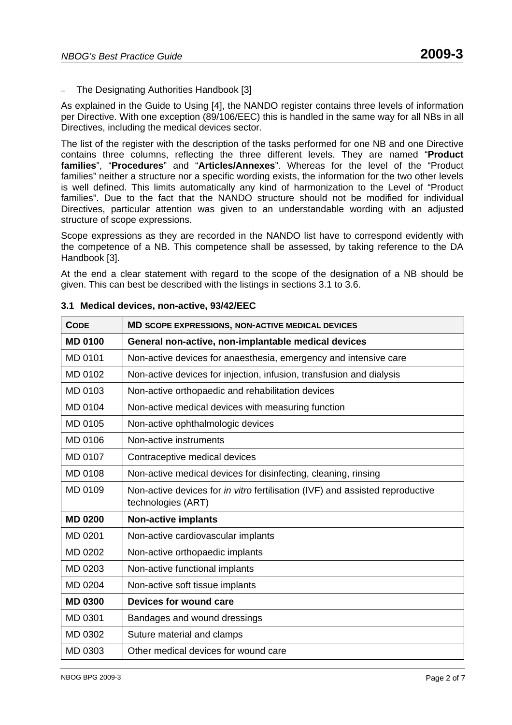– The Designating Authorities Handbook [3]

As explained in the Guide to Using [4], the NANDO register contains three levels of information per Directive. With one exception (89/106/EEC) this is handled in the same way for all NBs in all Directives, including the medical devices sector.

The list of the register with the description of the tasks performed for one NB and one Directive contains three columns, reflecting the three different levels. They are named "**Product families**", "**Procedures**" and "**Articles/Annexes**". Whereas for the level of the "Product families" neither a structure nor a specific wording exists, the information for the two other levels is well defined. This limits automatically any kind of harmonization to the Level of "Product families". Due to the fact that the NANDO structure should not be modified for individual Directives, particular attention was given to an understandable wording with an adjusted structure of scope expressions.

Scope expressions as they are recorded in the NANDO list have to correspond evidently with the competence of a NB. This competence shall be assessed, by taking reference to the DA Handbook [3].

At the end a clear statement with regard to the scope of the designation of a NB should be given. This can best be described with the listings in sections 3.1 to 3.6.

| <b>CODE</b>    | MD SCOPE EXPRESSIONS, NON-ACTIVE MEDICAL DEVICES                                                           |
|----------------|------------------------------------------------------------------------------------------------------------|
| <b>MD 0100</b> | General non-active, non-implantable medical devices                                                        |
| <b>MD 0101</b> | Non-active devices for anaesthesia, emergency and intensive care                                           |
| MD 0102        | Non-active devices for injection, infusion, transfusion and dialysis                                       |
| MD 0103        | Non-active orthopaedic and rehabilitation devices                                                          |
| MD 0104        | Non-active medical devices with measuring function                                                         |
| MD 0105        | Non-active ophthalmologic devices                                                                          |
| <b>MD 0106</b> | Non-active instruments                                                                                     |
| MD 0107        | Contraceptive medical devices                                                                              |
| <b>MD 0108</b> | Non-active medical devices for disinfecting, cleaning, rinsing                                             |
| MD 0109        | Non-active devices for <i>in vitro</i> fertilisation (IVF) and assisted reproductive<br>technologies (ART) |
| <b>MD 0200</b> | <b>Non-active implants</b>                                                                                 |
| MD 0201        | Non-active cardiovascular implants                                                                         |
| MD 0202        | Non-active orthopaedic implants                                                                            |
| MD 0203        | Non-active functional implants                                                                             |
| MD 0204        | Non-active soft tissue implants                                                                            |
| <b>MD 0300</b> | Devices for wound care                                                                                     |
| MD 0301        | Bandages and wound dressings                                                                               |
| MD 0302        | Suture material and clamps                                                                                 |
| MD 0303        | Other medical devices for wound care                                                                       |

#### **3.1 Medical devices, non-active, 93/42/EEC**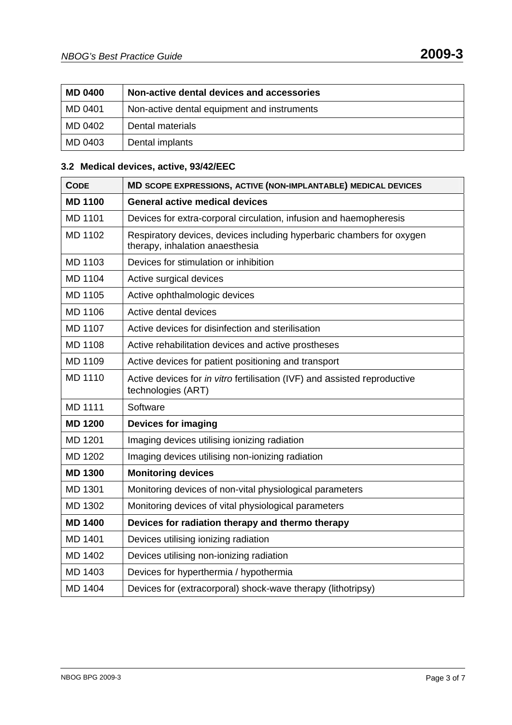| <b>MD 0400</b> | Non-active dental devices and accessories   |
|----------------|---------------------------------------------|
| MD 0401        | Non-active dental equipment and instruments |
| MD 0402        | Dental materials                            |
| MD 0403        | Dental implants                             |

## **3.2 Medical devices, active, 93/42/EEC**

| <b>CODE</b>    | MD SCOPE EXPRESSIONS, ACTIVE (NON-IMPLANTABLE) MEDICAL DEVICES                                           |
|----------------|----------------------------------------------------------------------------------------------------------|
| <b>MD 1100</b> | <b>General active medical devices</b>                                                                    |
| <b>MD 1101</b> | Devices for extra-corporal circulation, infusion and haemopheresis                                       |
| MD 1102        | Respiratory devices, devices including hyperbaric chambers for oxygen<br>therapy, inhalation anaesthesia |
| MD 1103        | Devices for stimulation or inhibition                                                                    |
| MD 1104        | Active surgical devices                                                                                  |
| MD 1105        | Active ophthalmologic devices                                                                            |
| <b>MD 1106</b> | Active dental devices                                                                                    |
| MD 1107        | Active devices for disinfection and sterilisation                                                        |
| <b>MD 1108</b> | Active rehabilitation devices and active prostheses                                                      |
| MD 1109        | Active devices for patient positioning and transport                                                     |
| <b>MD 1110</b> | Active devices for in vitro fertilisation (IVF) and assisted reproductive<br>technologies (ART)          |
| <b>MD 1111</b> | Software                                                                                                 |
| <b>MD 1200</b> | <b>Devices for imaging</b>                                                                               |
| MD 1201        | Imaging devices utilising ionizing radiation                                                             |
| MD 1202        | Imaging devices utilising non-ionizing radiation                                                         |
| <b>MD 1300</b> | <b>Monitoring devices</b>                                                                                |
| MD 1301        | Monitoring devices of non-vital physiological parameters                                                 |
| MD 1302        | Monitoring devices of vital physiological parameters                                                     |
| <b>MD 1400</b> | Devices for radiation therapy and thermo therapy                                                         |
| <b>MD 1401</b> | Devices utilising ionizing radiation                                                                     |
| MD 1402        | Devices utilising non-ionizing radiation                                                                 |
| MD 1403        | Devices for hyperthermia / hypothermia                                                                   |
| MD 1404        | Devices for (extracorporal) shock-wave therapy (lithotripsy)                                             |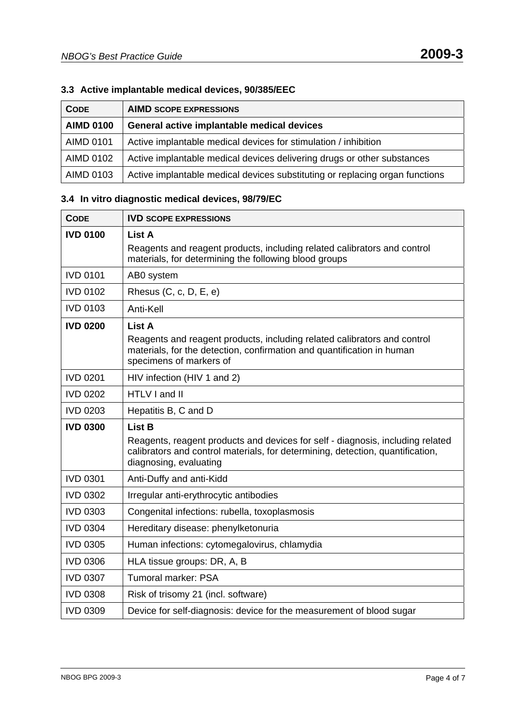## **3.3 Active implantable medical devices, 90/385/EEC**

| <b>CODE</b>      | <b>AIMD SCOPE EXPRESSIONS</b>                                                |
|------------------|------------------------------------------------------------------------------|
| <b>AIMD 0100</b> | General active implantable medical devices                                   |
| <b>AIMD 0101</b> | Active implantable medical devices for stimulation / inhibition              |
| <b>AIMD 0102</b> | Active implantable medical devices delivering drugs or other substances      |
| AIMD 0103        | Active implantable medical devices substituting or replacing organ functions |

## **3.4 In vitro diagnostic medical devices, 98/79/EC**

| <b>CODE</b>     | <b>IVD SCOPE EXPRESSIONS</b>                                                                                                                                                                                |
|-----------------|-------------------------------------------------------------------------------------------------------------------------------------------------------------------------------------------------------------|
| <b>IVD 0100</b> | List A<br>Reagents and reagent products, including related calibrators and control<br>materials, for determining the following blood groups                                                                 |
| <b>IVD 0101</b> | AB0 system                                                                                                                                                                                                  |
| <b>IVD 0102</b> | Rhesus $(C, c, D, E, e)$                                                                                                                                                                                    |
| <b>IVD 0103</b> | Anti-Kell                                                                                                                                                                                                   |
| <b>IVD 0200</b> | <b>List A</b><br>Reagents and reagent products, including related calibrators and control<br>materials, for the detection, confirmation and quantification in human<br>specimens of markers of              |
| <b>IVD 0201</b> | HIV infection (HIV 1 and 2)                                                                                                                                                                                 |
| <b>IVD 0202</b> | HTLV I and II                                                                                                                                                                                               |
| <b>IVD 0203</b> | Hepatitis B, C and D                                                                                                                                                                                        |
| <b>IVD 0300</b> | <b>List B</b><br>Reagents, reagent products and devices for self - diagnosis, including related<br>calibrators and control materials, for determining, detection, quantification,<br>diagnosing, evaluating |
| <b>IVD 0301</b> | Anti-Duffy and anti-Kidd                                                                                                                                                                                    |
| <b>IVD 0302</b> | Irregular anti-erythrocytic antibodies                                                                                                                                                                      |
| <b>IVD 0303</b> | Congenital infections: rubella, toxoplasmosis                                                                                                                                                               |
| <b>IVD 0304</b> | Hereditary disease: phenylketonuria                                                                                                                                                                         |
| <b>IVD 0305</b> | Human infections: cytomegalovirus, chlamydia                                                                                                                                                                |
| <b>IVD 0306</b> | HLA tissue groups: DR, A, B                                                                                                                                                                                 |
| <b>IVD 0307</b> | <b>Tumoral marker: PSA</b>                                                                                                                                                                                  |
| <b>IVD 0308</b> | Risk of trisomy 21 (incl. software)                                                                                                                                                                         |
| <b>IVD 0309</b> | Device for self-diagnosis: device for the measurement of blood sugar                                                                                                                                        |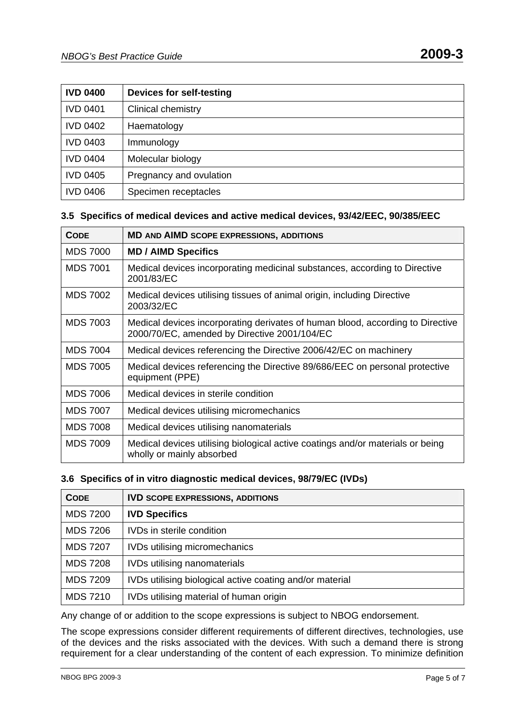| <b>IVD 0400</b> | <b>Devices for self-testing</b> |
|-----------------|---------------------------------|
| <b>IVD 0401</b> | <b>Clinical chemistry</b>       |
| <b>IVD 0402</b> | Haematology                     |
| <b>IVD 0403</b> | Immunology                      |
| <b>IVD 0404</b> | Molecular biology               |
| <b>IVD 0405</b> | Pregnancy and ovulation         |
| <b>IVD 0406</b> | Specimen receptacles            |

#### **3.5 Specifics of medical devices and active medical devices, 93/42/EEC, 90/385/EEC**

| <b>CODE</b>     | <b>MD AND AIMD SCOPE EXPRESSIONS, ADDITIONS</b>                                                                                |
|-----------------|--------------------------------------------------------------------------------------------------------------------------------|
| <b>MDS 7000</b> | <b>MD / AIMD Specifics</b>                                                                                                     |
| <b>MDS 7001</b> | Medical devices incorporating medicinal substances, according to Directive<br>2001/83/EC                                       |
| <b>MDS 7002</b> | Medical devices utilising tissues of animal origin, including Directive<br>2003/32/EC                                          |
| <b>MDS 7003</b> | Medical devices incorporating derivates of human blood, according to Directive<br>2000/70/EC, amended by Directive 2001/104/EC |
| <b>MDS 7004</b> | Medical devices referencing the Directive 2006/42/EC on machinery                                                              |
| <b>MDS 7005</b> | Medical devices referencing the Directive 89/686/EEC on personal protective<br>equipment (PPE)                                 |
| MDS 7006        | Medical devices in sterile condition                                                                                           |
| <b>MDS 7007</b> | Medical devices utilising micromechanics                                                                                       |
| <b>MDS 7008</b> | Medical devices utilising nanomaterials                                                                                        |
| <b>MDS 7009</b> | Medical devices utilising biological active coatings and/or materials or being<br>wholly or mainly absorbed                    |

#### **3.6 Specifics of in vitro diagnostic medical devices, 98/79/EC (IVDs)**

| <b>CODE</b>     | <b>IVD SCOPE EXPRESSIONS, ADDITIONS</b>                  |
|-----------------|----------------------------------------------------------|
| <b>MDS 7200</b> | <b>IVD Specifics</b>                                     |
| <b>MDS 7206</b> | IVDs in sterile condition                                |
| <b>MDS 7207</b> | <b>IVDs utilising micromechanics</b>                     |
| <b>MDS 7208</b> | <b>IVDs utilising nanomaterials</b>                      |
| <b>MDS 7209</b> | IVDs utilising biological active coating and/or material |
| <b>MDS 7210</b> | IVDs utilising material of human origin                  |

Any change of or addition to the scope expressions is subject to NBOG endorsement.

The scope expressions consider different requirements of different directives, technologies, use of the devices and the risks associated with the devices. With such a demand there is strong requirement for a clear understanding of the content of each expression. To minimize definition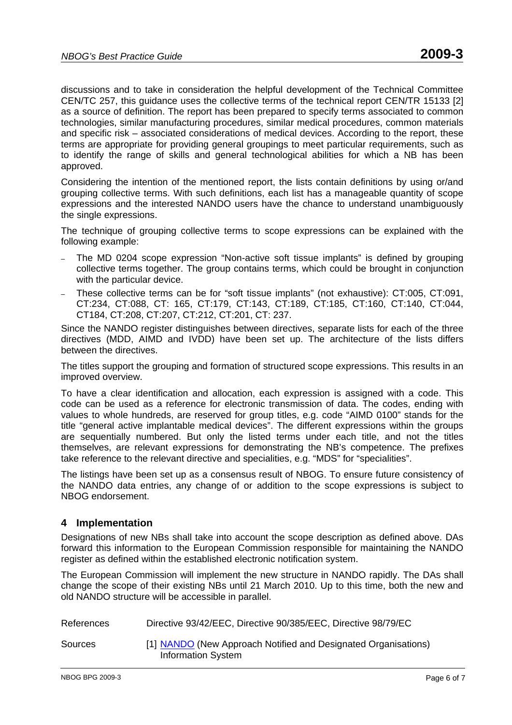discussions and to take in consideration the helpful development of the Technical Committee CEN/TC 257, this guidance uses the collective terms of the technical report CEN/TR 15133 [2] as a source of definition. The report has been prepared to specify terms associated to common technologies, similar manufacturing procedures, similar medical procedures, common materials and specific risk – associated considerations of medical devices. According to the report, these terms are appropriate for providing general groupings to meet particular requirements, such as to identify the range of skills and general technological abilities for which a NB has been approved.

Considering the intention of the mentioned report, the lists contain definitions by using or/and grouping collective terms. With such definitions, each list has a manageable quantity of scope expressions and the interested NANDO users have the chance to understand unambiguously the single expressions.

The technique of grouping collective terms to scope expressions can be explained with the following example:

- The MD 0204 scope expression "Non-active soft tissue implants" is defined by grouping collective terms together. The group contains terms, which could be brought in conjunction with the particular device.
- These collective terms can be for "soft tissue implants" (not exhaustive): CT:005, CT:091, CT:234, CT:088, CT: 165, CT:179, CT:143, CT:189, CT:185, CT:160, CT:140, CT:044, CT184, CT:208, CT:207, CT:212, CT:201, CT: 237.

Since the NANDO register distinguishes between directives, separate lists for each of the three directives (MDD, AIMD and IVDD) have been set up. The architecture of the lists differs between the directives.

The titles support the grouping and formation of structured scope expressions. This results in an improved overview.

To have a clear identification and allocation, each expression is assigned with a code. This code can be used as a reference for electronic transmission of data. The codes, ending with values to whole hundreds, are reserved for group titles, e.g. code "AIMD 0100" stands for the title "general active implantable medical devices". The different expressions within the groups are sequentially numbered. But only the listed terms under each title, and not the titles themselves, are relevant expressions for demonstrating the NB's competence. The prefixes take reference to the relevant directive and specialities, e.g. "MDS" for "specialities".

The listings have been set up as a consensus result of NBOG. To ensure future consistency of the NANDO data entries, any change of or addition to the scope expressions is subject to NBOG endorsement.

#### **4 Implementation**

Designations of new NBs shall take into account the scope description as defined above. DAs forward this information to the European Commission responsible for maintaining the NANDO register as defined within the established electronic notification system.

The European Commission will implement the new structure in NANDO rapidly. The DAs shall change the scope of their existing NBs until 21 March 2010. Up to this time, both the new and old NANDO structure will be accessible in parallel.

| References | Directive 93/42/EEC, Directive 90/385/EEC, Directive 98/79/EC                               |
|------------|---------------------------------------------------------------------------------------------|
| Sources    | [1] NANDO (New Approach Notified and Designated Organisations)<br><b>Information System</b> |